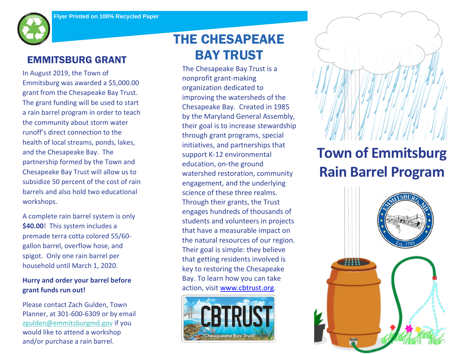

## EMMITSBURG GRANT

In August 2019, the Town of Emmitsburg was awarded a \$5,000.00 grant from the Chesapeake Bay Trust. The grant funding will be used to start a rain barrel program in order to teach the community about storm water runoff's direct connection to the health of local streams, ponds, lakes, and the Chesapeake Bay. The partnership formed by the Town and Chesapeake Bay Trust will allow us to subsidize 50 percent of the cost of rain barrels and also hold two educational workshops.

A complete rain barrel system is only **\$40.00**! This system includes a premade terra cotta colored 55/60 gallon barrel, overflow hose, and spigot. Only one rain barrel per household until March 1, 2020.

### **Hurry and order your barrel before grant funds run out!**

Please contact Zach Gulden, Town Planner, at 301-600-6309 or by email [zgulden@emmitsburgmd.gov](mailto:zgulden@emmitsburgmd.gov) if you would like to attend a workshop and/or purchase a rain barrel.

# THE CHESAPEAKE BAY TRUST

Idents and volunteers in proje students and volunteers in projects The Chesapeake Bay Trust is a nonprofit grant-making organization dedicated to improving the watersheds of the Chesapeake Bay. Created in 1985 by the Maryland General Assembly, their goal is to increase stewardship through grant programs, special initiatives, and partnerships that support K-12 environmental education, on-the ground watershed restoration, community engagement, and the underlying science of these three realms. Through their grants, the Trust engages hundreds of thousands of that have a measurable impact on the natural resources of our region. Their goal is simple: they believe that getting residents involved is key to restoring the Chesapeake Bay. To learn how you can take action, visit [www.cbtrust.org.](http://www.cbtrust.org/)



# **Town of Emmitsburg Rain Barrel Program**